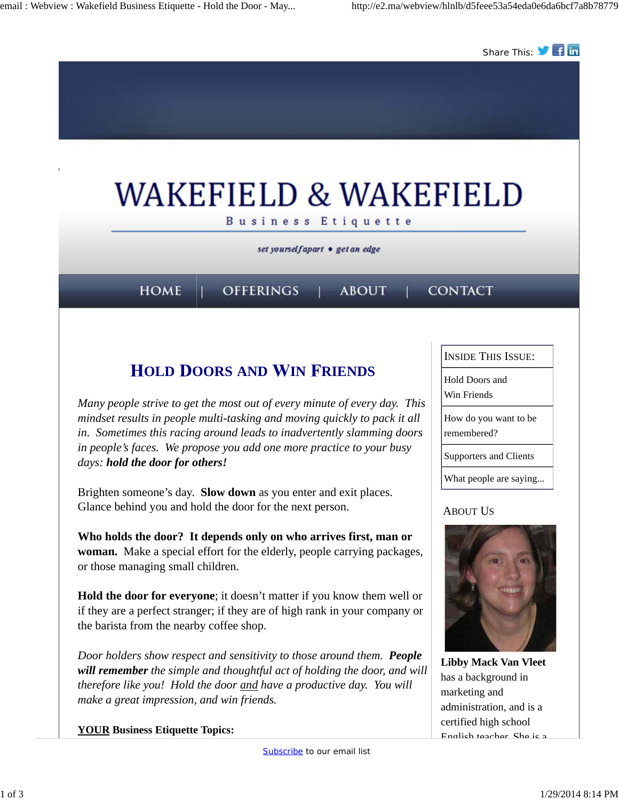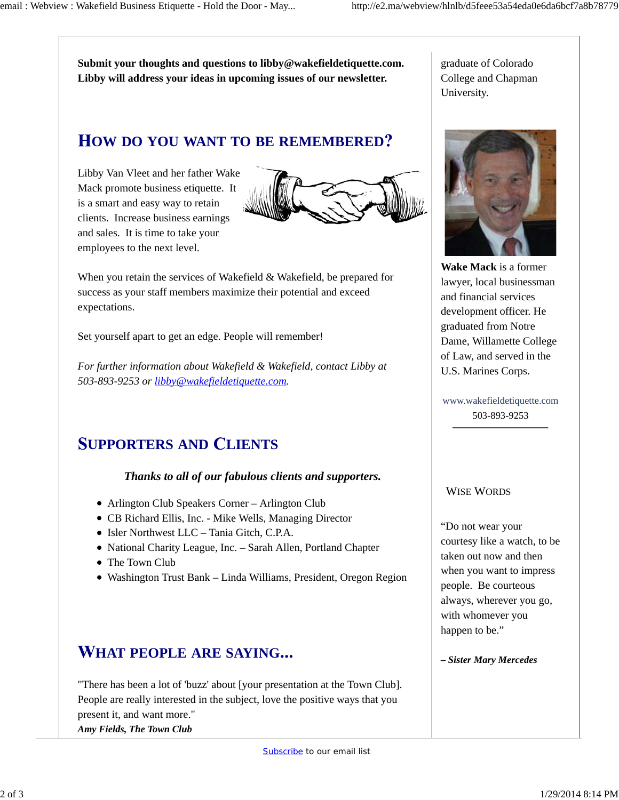**Submit your thoughts and questions to libby@wakefieldetiquette.com. Libby will address your ideas in upcoming issues of our newsletter.**

graduate of Colorado College and Chapman University.

## **OW DO YOU WANT TO BE REMEMBERED**

Libby Van Vleet and her father Wake Mack promote business etiquette. It is a smart and easy way to retain clients. Increase business earnings and sales. It is time to take your employees to the next level.



When you retain the services of Wakefield & Wakefield, be prepared for success as your staff members maximize their potential and exceed expectations.

Set yourself apart to get an edge. People will remember!

*For further information about Wakefield & Wakefield, contact Libby at 503-893-9253 or libby@wakefieldetiquette.com.*

# **UPPORTERS AND LIENTS**

### *Thanks to all of our fabulous clients and supporters.*

- Arlington Club Speakers Corner Arlington Club
- CB Richard Ellis, Inc. Mike Wells, Managing Director
- Isler Northwest LLC Tania Gitch, C.P.A.
- National Charity League, Inc. Sarah Allen, Portland Chapter
- The Town Club
- Washington Trust Bank Linda Williams, President, Oregon Region

### **HAT PEOPLE ARE SAYING**

"There has been a lot of 'buzz' about [your presentation at the Town Club]. People are really interested in the subject, love the positive ways that you present it, and want more." *Amy Fields, The Town Club*



**Wake Mack** is a former lawyer, local businessman and financial services development officer. He graduated from Notre Dame, Willamette College of Law, and served in the U.S. Marines Corps.

www.wakefieldetiquette.com 503-893-9253

#### WISE WORDS

"Do not wear your courtesy like a watch, to be taken out now and then when you want to impress people. Be courteous always, wherever you go, with whomever you happen to be."

*– Sister Mary Mercedes*